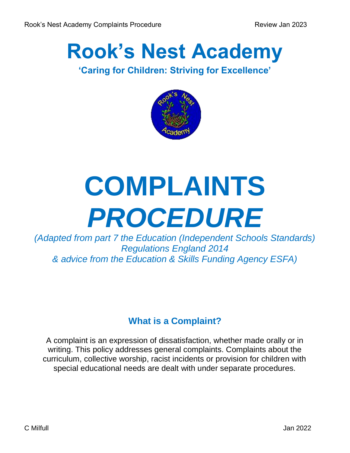## **Rook's Nest Academy**

#### **'Caring for Children: Striving for Excellence'**



# **COMPLAINTS**  *PROCEDURE*

*(Adapted from part 7 the Education (Independent Schools Standards) Regulations England 2014 & advice from the Education & Skills Funding Agency ESFA)* 

#### **What is a Complaint?**

A complaint is an expression of dissatisfaction, whether made orally or in writing. This policy addresses general complaints. Complaints about the curriculum, collective worship, racist incidents or provision for children with special educational needs are dealt with under separate procedures.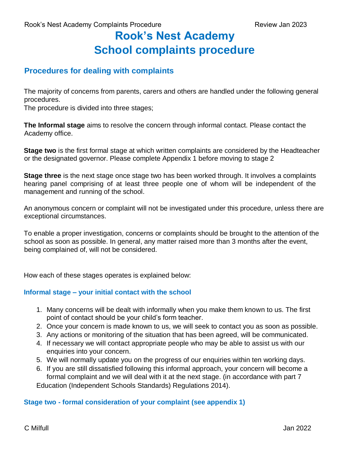### **Rook's Nest Academy School complaints procedure**

#### **Procedures for dealing with complaints**

The majority of concerns from parents, carers and others are handled under the following general procedures.

The procedure is divided into three stages;

**The Informal stage** aims to resolve the concern through informal contact. Please contact the Academy office.

**Stage two** is the first formal stage at which written complaints are considered by the Headteacher or the designated governor. Please complete Appendix 1 before moving to stage 2

**Stage three** is the next stage once stage two has been worked through. It involves a complaints hearing panel comprising of at least three people one of whom will be independent of the management and running of the school.

An anonymous concern or complaint will not be investigated under this procedure, unless there are exceptional circumstances.

To enable a proper investigation, concerns or complaints should be brought to the attention of the school as soon as possible. In general, any matter raised more than 3 months after the event, being complained of, will not be considered.

How each of these stages operates is explained below:

#### **Informal stage – your initial contact with the school**

- 1. Many concerns will be dealt with informally when you make them known to us. The first point of contact should be your child's form teacher.
- 2. Once your concern is made known to us, we will seek to contact you as soon as possible.
- 3. Any actions or monitoring of the situation that has been agreed, will be communicated.
- 4. If necessary we will contact appropriate people who may be able to assist us with our enquiries into your concern.
- 5. We will normally update you on the progress of our enquiries within ten working days.
- 6. If you are still dissatisfied following this informal approach, your concern will become a formal complaint and we will deal with it at the next stage. (in accordance with part 7

Education (Independent Schools Standards) Regulations 2014).

#### **Stage two - formal consideration of your complaint (see appendix 1)**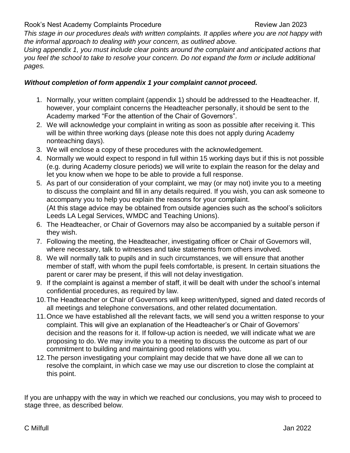Rook's Nest Academy Complaints Procedure **Review Jan 2023** Review Jan 2023

*This stage in our procedures deals with written complaints. It applies where you are not happy with the informal approach to dealing with your concern, as outlined above.* 

*Using appendix 1, you must include clear points around the complaint and anticipated actions that you feel the school to take to resolve your concern. Do not expand the form or include additional pages.* 

#### *Without completion of form appendix 1 your complaint cannot proceed.*

- 1. Normally, your written complaint (appendix 1) should be addressed to the Headteacher. If, however, your complaint concerns the Headteacher personally, it should be sent to the Academy marked "For the attention of the Chair of Governors"*.*
- 2. We will acknowledge your complaint in writing as soon as possible after receiving it. This will be within three working days (please note this does not apply during Academy nonteaching days).
- 3. We will enclose a copy of these procedures with the acknowledgement.
- 4. Normally we would expect to respond in full within 15 working days but if this is not possible (e.g. during Academy closure periods) we will write to explain the reason for the delay and let you know when we hope to be able to provide a full response.
- 5. As part of our consideration of your complaint, we may (or may not) invite you to a meeting to discuss the complaint and fill in any details required. If you wish, you can ask someone to accompany you to help you explain the reasons for your complaint. (At this stage advice may be obtained from outside agencies such as the school's solicitors Leeds LA Legal Services, WMDC and Teaching Unions).
- 6. The Headteacher, or Chair of Governors may also be accompanied by a suitable person if they wish.
- 7. Following the meeting, the Headteacher, investigating officer or Chair of Governors will, where necessary, talk to witnesses and take statements from others involved.
- 8. We will normally talk to pupils and in such circumstances, we will ensure that another member of staff, with whom the pupil feels comfortable, is present. In certain situations the parent or carer may be present, if this will not delay investigation.
- 9. If the complaint is against a member of staff, it will be dealt with under the school's internal confidential procedures, as required by law.
- 10.The Headteacher or Chair of Governors will keep written/typed, signed and dated records of all meetings and telephone conversations, and other related documentation.
- 11.Once we have established all the relevant facts, we will send you a written response to your complaint. This will give an explanation of the Headteacher's or Chair of Governors' decision and the reasons for it. If follow-up action is needed, we will indicate what we are proposing to do. We may invite you to a meeting to discuss the outcome as part of our commitment to building and maintaining good relations with you.
- 12.The person investigating your complaint may decide that we have done all we can to resolve the complaint, in which case we may use our discretion to close the complaint at this point.

If you are unhappy with the way in which we reached our conclusions, you may wish to proceed to stage three, as described below.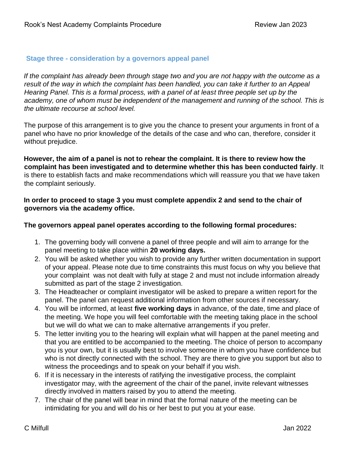#### **Stage three - consideration by a governors appeal panel**

*If the complaint has already been through stage two and you are not happy with the outcome as a result of the way in which the complaint has been handled, you can take it further to an Appeal Hearing Panel. This is a formal process, with a panel of at least three people set up by the*  academy, one of whom must be independent of the management and running of the school. This is *the ultimate recourse at school level.* 

The purpose of this arrangement is to give you the chance to present your arguments in front of a panel who have no prior knowledge of the details of the case and who can, therefore, consider it without prejudice.

**However, the aim of a panel is not to rehear the complaint. It is there to review how the complaint has been investigated and to determine whether this has been conducted fairly**. It is there to establish facts and make recommendations which will reassure you that we have taken the complaint seriously.

#### **In order to proceed to stage 3 you must complete appendix 2 and send to the chair of governors via the academy office.**

#### **The governors appeal panel operates according to the following formal procedures:**

- 1. The governing body will convene a panel of three people and will aim to arrange for the panel meeting to take place within **20 working days.**
- 2. You will be asked whether you wish to provide any further written documentation in support of your appeal. Please note due to time constraints this must focus on why you believe that your complaint was not dealt with fully at stage 2 and must not include information already submitted as part of the stage 2 investigation.
- 3. The Headteacher or complaint investigator will be asked to prepare a written report for the panel. The panel can request additional information from other sources if necessary.
- 4. You will be informed, at least **five working days** in advance, of the date, time and place of the meeting. We hope you will feel comfortable with the meeting taking place in the school but we will do what we can to make alternative arrangements if you prefer.
- 5. The letter inviting you to the hearing will explain what will happen at the panel meeting and that you are entitled to be accompanied to the meeting. The choice of person to accompany you is your own, but it is usually best to involve someone in whom you have confidence but who is not directly connected with the school. They are there to give you support but also to witness the proceedings and to speak on your behalf if you wish.
- 6. If it is necessary in the interests of ratifying the investigative process, the complaint investigator may, with the agreement of the chair of the panel, invite relevant witnesses directly involved in matters raised by you to attend the meeting.
- 7. The chair of the panel will bear in mind that the formal nature of the meeting can be intimidating for you and will do his or her best to put you at your ease.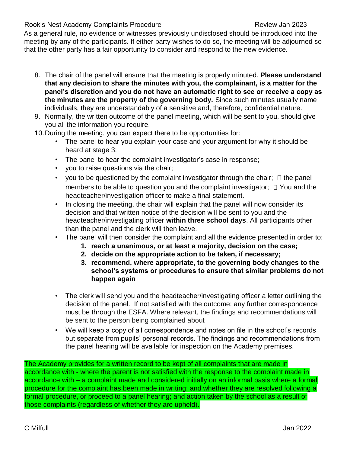Rook's Nest Academy Complaints Procedure **Review Jan 2023** Review Jan 2023

As a general rule, no evidence or witnesses previously undisclosed should be introduced into the meeting by any of the participants. If either party wishes to do so, the meeting will be adjourned so that the other party has a fair opportunity to consider and respond to the new evidence.

- 8. The chair of the panel will ensure that the meeting is properly minuted. **Please understand that any decision to share the minutes with you, the complainant, is a matter for the panel's discretion and you do not have an automatic right to see or receive a copy as the minutes are the property of the governing body.** Since such minutes usually name individuals, they are understandably of a sensitive and, therefore, confidential nature.
- 9. Normally, the written outcome of the panel meeting, which will be sent to you, should give you all the information you require.
- 10.During the meeting, you can expect there to be opportunities for:
	- The panel to hear you explain your case and your argument for why it should be heard at stage 3;
	- The panel to hear the complaint investigator's case in response;
	- you to raise questions via the chair;
	- you to be questioned by the complaint investigator through the chair;  $\Box$  the panel members to be able to question you and the complaint investigator;  $\Box$  You and the headteacher/investigation officer to make a final statement.
	- In closing the meeting, the chair will explain that the panel will now consider its decision and that written notice of the decision will be sent to you and the headteacher/investigating officer **within three school days**. All participants other than the panel and the clerk will then leave.
	- The panel will then consider the complaint and all the evidence presented in order to:
		- **1. reach a unanimous, or at least a majority, decision on the case;**
		- **2. decide on the appropriate action to be taken, if necessary;**
		- **3. recommend, where appropriate, to the governing body changes to the school's systems or procedures to ensure that similar problems do not happen again**
	- The clerk will send you and the headteacher/investigating officer a letter outlining the decision of the panel. If not satisfied with the outcome: any further correspondence must be through the ESFA. Where relevant, the findings and recommendations will be sent to the person being complained about
	- We will keep a copy of all correspondence and notes on file in the school's records but separate from pupils' personal records. The findings and recommendations from the panel hearing will be available for inspection on the Academy premises.

The Academy provides for a written record to be kept of all complaints that are made in accordance with - where the parent is not satisfied with the response to the complaint made in accordance with – a complaint made and considered initially on an informal basis where a formal procedure for the complaint has been made in writing; and whether they are resolved following a formal procedure, or proceed to a panel hearing; and action taken by the school as a result of those complaints (regardless of whether they are upheld).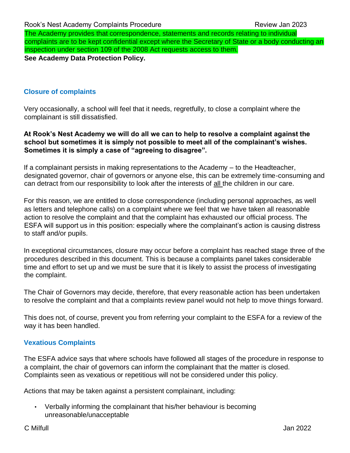The Academy provides that correspondence, statements and records relating to individual complaints are to be kept confidential except where the Secretary of State or a body conducting an inspection under section 109 of the 2008 Act requests access to them. **See Academy Data Protection Policy.**

#### **Closure of complaints**

Very occasionally, a school will feel that it needs, regretfully, to close a complaint where the complainant is still dissatisfied.

#### **At Rook's Nest Academy we will do all we can to help to resolve a complaint against the school but sometimes it is simply not possible to meet all of the complainant's wishes. Sometimes it is simply a case of "agreeing to disagree".**

If a complainant persists in making representations to the Academy – to the Headteacher, designated governor, chair of governors or anyone else, this can be extremely time-consuming and can detract from our responsibility to look after the interests of all the children in our care.

For this reason, we are entitled to close correspondence (including personal approaches, as well as letters and telephone calls) on a complaint where we feel that we have taken all reasonable action to resolve the complaint and that the complaint has exhausted our official process. The ESFA will support us in this position: especially where the complainant's action is causing distress to staff and/or pupils.

In exceptional circumstances, closure may occur before a complaint has reached stage three of the procedures described in this document. This is because a complaints panel takes considerable time and effort to set up and we must be sure that it is likely to assist the process of investigating the complaint.

The Chair of Governors may decide, therefore, that every reasonable action has been undertaken to resolve the complaint and that a complaints review panel would not help to move things forward.

This does not, of course, prevent you from referring your complaint to the ESFA for a review of the way it has been handled.

#### **Vexatious Complaints**

The ESFA advice says that where schools have followed all stages of the procedure in response to a complaint, the chair of governors can inform the complainant that the matter is closed. Complaints seen as vexatious or repetitious will not be considered under this policy.

Actions that may be taken against a persistent complainant, including:

• Verbally informing the complainant that his/her behaviour is becoming unreasonable/unacceptable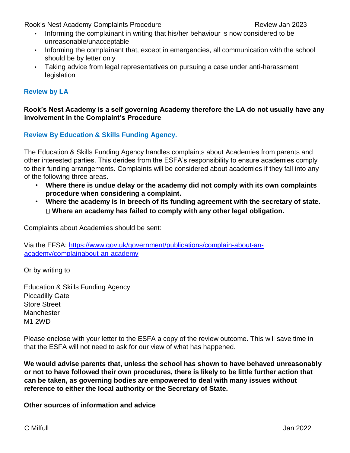Rook's Nest Academy Complaints Procedure **Review Jan 2023** Review Jan 2023

- Informing the complainant in writing that his/her behaviour is now considered to be unreasonable/unacceptable
- Informing the complainant that, except in emergencies, all communication with the school should be by letter only
- Taking advice from legal representatives on pursuing a case under anti-harassment legislation

#### **Review by LA**

#### **Rook's Nest Academy is a self governing Academy therefore the LA do not usually have any involvement in the Complaint's Procedure**

**Review By Education & Skills Funding Agency.** 

The Education & Skills Funding Agency handles complaints about Academies from parents and other interested parties. This derides from the ESFA's responsibility to ensure academies comply to their funding arrangements. Complaints will be considered about academies if they fall into any of the following three areas.

- **Where there is undue delay or the academy did not comply with its own complaints procedure when considering a complaint.**
- **Where the academy is in breech of its funding agreement with the secretary of state. Where an academy has failed to comply with any other legal obligation.**

Complaints about Academies should be sent:

Via the EFSA: [https://www.gov.uk/government/publications/complain-about-an](https://www.gov.uk/government/publications/complain-about-an-academy/complain-about-an-academy)[academy/complainabout-an-academy](https://www.gov.uk/government/publications/complain-about-an-academy/complain-about-an-academy)

Or by writing to

Education & Skills Funding Agency Piccadilly Gate Store Street **Manchester** M1 2WD

Please enclose with your letter to the ESFA a copy of the review outcome. This will save time in that the ESFA will not need to ask for our view of what has happened.

**We would advise parents that, unless the school has shown to have behaved unreasonably or not to have followed their own procedures, there is likely to be little further action that can be taken, as governing bodies are empowered to deal with many issues without reference to either the local authority or the Secretary of State.** 

**Other sources of information and advice**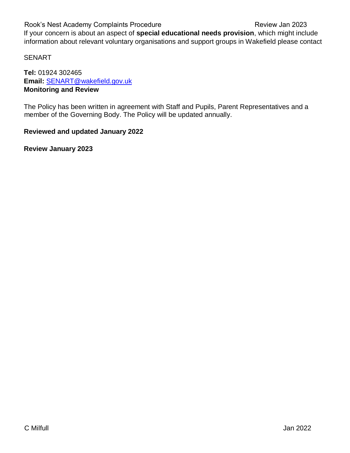Rook's Nest Academy Complaints Procedure **Review Jan 2023** Review Jan 2023 If your concern is about an aspect of **special educational needs provision**, which might include information about relevant voluntary organisations and support groups in Wakefield please contact

SENART

**Tel:** 01924 302465 **Email:** SENART@wakefield.gov.uk **Monitoring and Review** 

The Policy has been written in agreement with Staff and Pupils, Parent Representatives and a member of the Governing Body. The Policy will be updated annually.

#### **Reviewed and updated January 2022**

**Review January 2023**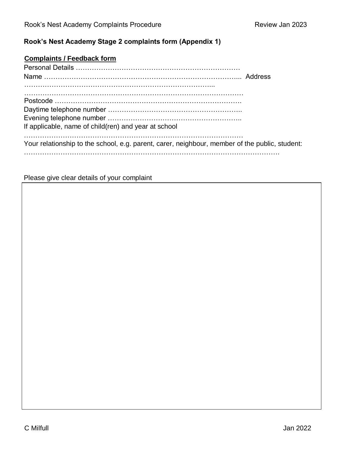#### **Rook's Nest Academy Stage 2 complaints form (Appendix 1)**

#### **Complaints / Feedback form**

| If applicable, name of child(ren) and year at school                                           |  |
|------------------------------------------------------------------------------------------------|--|
| Your relationship to the school, e.g. parent, carer, neighbour, member of the public, student: |  |
|                                                                                                |  |

Please give clear details of your complaint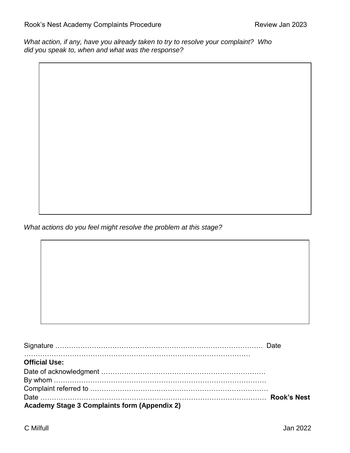*What action, if any, have you already taken to try to resolve your complaint? Who did you speak to, when and what was the response?* 

*What actions do you feel might resolve the problem at this stage?* 

| <b>Official Use:</b>                                |  |
|-----------------------------------------------------|--|
|                                                     |  |
|                                                     |  |
|                                                     |  |
|                                                     |  |
| <b>Academy Stage 3 Complaints form (Appendix 2)</b> |  |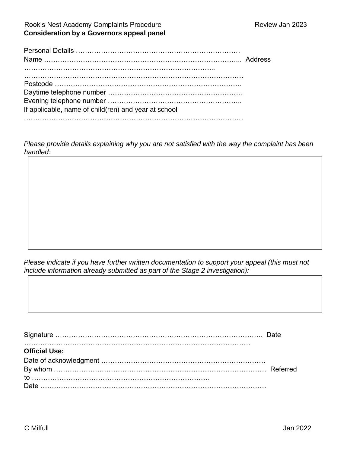#### Rook's Nest Academy Complaints Procedure **Review Jan 2023 Consideration by a Governors appeal panel**

| If applicable, name of child(ren) and year at school |  |
|------------------------------------------------------|--|
|                                                      |  |

*Please provide details explaining why you are not satisfied with the way the complaint has been handled:* 

*Please indicate if you have further written documentation to support your appeal (this must not include information already submitted as part of the Stage 2 investigation):* 

| <b>Official Use:</b> |  |
|----------------------|--|
|                      |  |
|                      |  |
|                      |  |
|                      |  |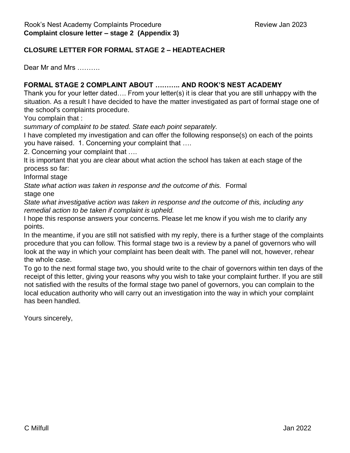#### **CLOSURE LETTER FOR FORMAL STAGE 2 – HEADTEACHER**

Dear Mr and Mrs ………

#### **FORMAL STAGE 2 COMPLAINT ABOUT ……….. AND ROOK'S NEST ACADEMY**

Thank you for your letter dated…. From your letter(s) it is clear that you are still unhappy with the situation. As a result I have decided to have the matter investigated as part of formal stage one of the school's complaints procedure.

You complain that :

*summary of complaint to be stated. State each point separately.* 

I have completed my investigation and can offer the following response(s) on each of the points you have raised. 1. Concerning your complaint that ….

2. Concerning your complaint that ….

It is important that you are clear about what action the school has taken at each stage of the process so far:

Informal stage

*State what action was taken in response and the outcome of this.* Formal stage one

*State what investigative action was taken in response and the outcome of this, including any remedial action to be taken if complaint is upheld.* 

I hope this response answers your concerns. Please let me know if you wish me to clarify any points.

In the meantime, if you are still not satisfied with my reply, there is a further stage of the complaints procedure that you can follow. This formal stage two is a review by a panel of governors who will look at the way in which your complaint has been dealt with. The panel will not, however, rehear the whole case.

To go to the next formal stage two, you should write to the chair of governors within ten days of the receipt of this letter, giving your reasons why you wish to take your complaint further. If you are still not satisfied with the results of the formal stage two panel of governors, you can complain to the local education authority who will carry out an investigation into the way in which your complaint has been handled.

Yours sincerely,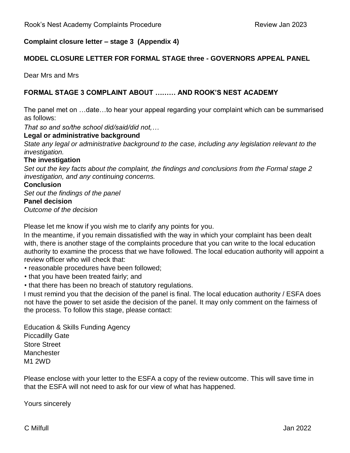#### **Complaint closure letter – stage 3 (Appendix 4)**

#### **MODEL CLOSURE LETTER FOR FORMAL STAGE three - GOVERNORS APPEAL PANEL**

Dear Mrs and Mrs

#### **FORMAL STAGE 3 COMPLAINT ABOUT ……… AND ROOK'S NEST ACADEMY**

The panel met on …date…to hear your appeal regarding your complaint which can be summarised as follows:

*That so and so/the school did/said/did not,…* 

#### **Legal or administrative background**

*State any legal or administrative background to the case, including any legislation relevant to the investigation.* 

#### **The investigation**

*Set out the key facts about the complaint, the findings and conclusions from the Formal stage 2 investigation, and any continuing concerns.* 

#### **Conclusion**

*Set out the findings of the panel*  **Panel decision**  *Outcome of the decision* 

Please let me know if you wish me to clarify any points for you.

In the meantime, if you remain dissatisfied with the way in which your complaint has been dealt with, there is another stage of the complaints procedure that you can write to the local education authority to examine the process that we have followed. The local education authority will appoint a review officer who will check that:

• reasonable procedures have been followed;

- that you have been treated fairly; and
- that there has been no breach of statutory regulations.

I must remind you that the decision of the panel is final. The local education authority / ESFA does not have the power to set aside the decision of the panel. It may only comment on the fairness of the process. To follow this stage, please contact:

Education & Skills Funding Agency Piccadilly Gate Store Street **Manchester** M1 2WD

Please enclose with your letter to the ESFA a copy of the review outcome. This will save time in that the ESFA will not need to ask for our view of what has happened.

Yours sincerely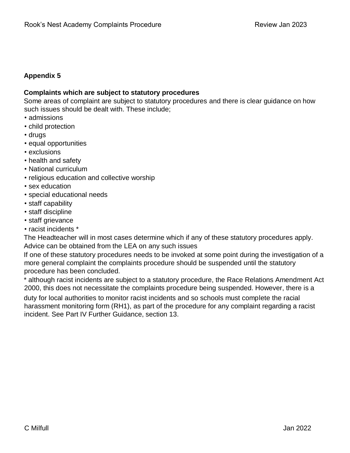#### **Appendix 5**

#### **Complaints which are subject to statutory procedures**

Some areas of complaint are subject to statutory procedures and there is clear guidance on how such issues should be dealt with. These include;

- admissions
- child protection
- drugs
- equal opportunities
- exclusions
- health and safety
- National curriculum
- religious education and collective worship
- sex education
- special educational needs
- staff capability
- staff discipline
- staff grievance
- racist incidents \*

The Headteacher will in most cases determine which if any of these statutory procedures apply. Advice can be obtained from the LEA on any such issues

If one of these statutory procedures needs to be invoked at some point during the investigation of a more general complaint the complaints procedure should be suspended until the statutory procedure has been concluded.

\* although racist incidents are subject to a statutory procedure, the Race Relations Amendment Act 2000, this does not necessitate the complaints procedure being suspended. However, there is a

duty for local authorities to monitor racist incidents and so schools must complete the racial harassment monitoring form (RH1), as part of the procedure for any complaint regarding a racist incident. See Part IV Further Guidance, section 13.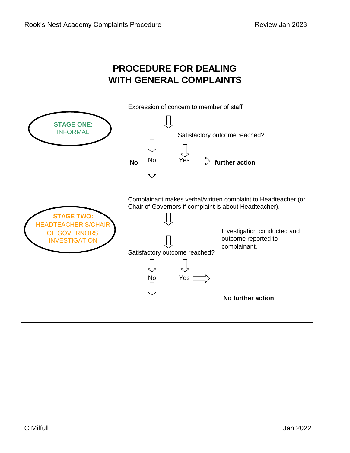#### **PROCEDURE FOR DEALING WITH GENERAL COMPLAINTS**